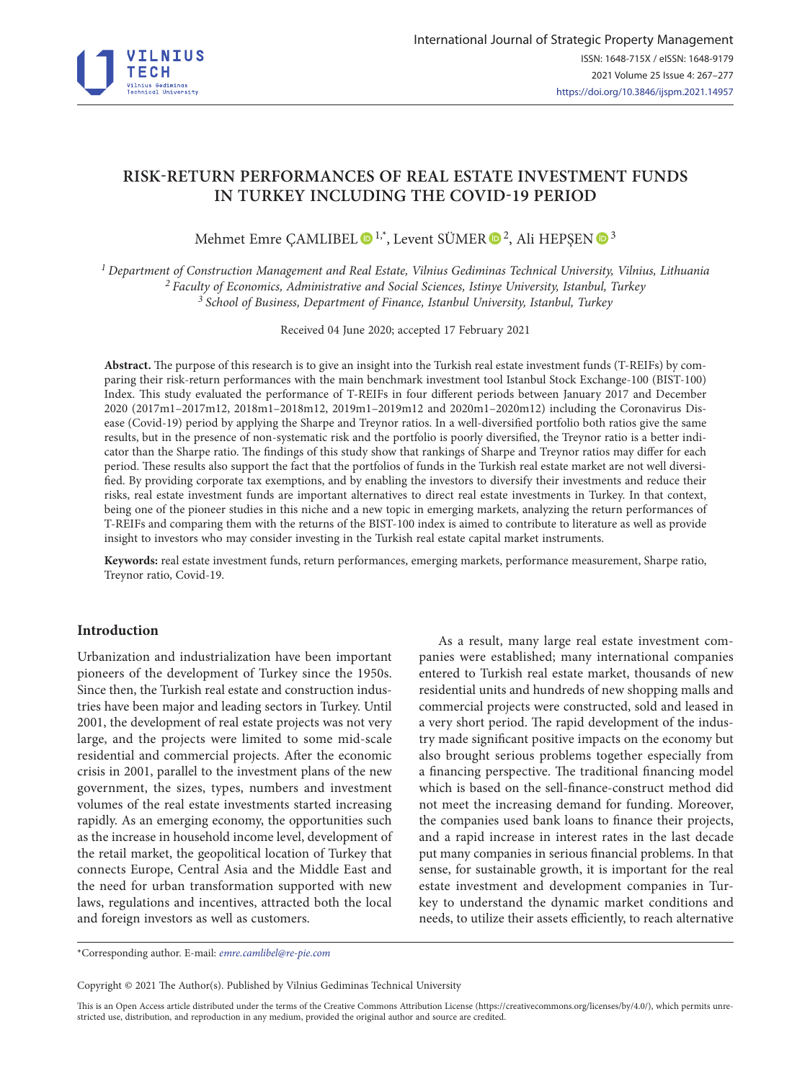

# **RISK-RETURN PERFORMANCES OF REAL ESTATE INVESTMENT FUNDS IN TURKEY INCLUDING THE COVID-19 PERIOD**

Mehmet Emre CAMLIBEL  $\bigcirc 1,^*$ , Levent SÜMER  $\bigcirc 2$ , Ali HEPSEN  $\bigcirc 3$ 

*1 Department of Construction Management and Real Estate, Vilnius Gediminas Technical University, Vilnius, Lithuania 2 Faculty of Economics, Administrative and Social Sciences, Istinye University, Istanbul, Turkey 3 School of Business, Department of Finance, Istanbul University, Istanbul, Turkey*

Received 04 June 2020; accepted 17 February 2021

**Abstract.** The purpose of this research is to give an insight into the Turkish real estate investment funds (T-REIFs) by comparing their risk-return performances with the main benchmark investment tool Istanbul Stock Exchange-100 (BIST-100) Index. This study evaluated the performance of T-REIFs in four different periods between January 2017 and December 2020 (2017m1–2017m12, 2018m1–2018m12, 2019m1–2019m12 and 2020m1–2020m12) including the Coronavirus Disease (Covid-19) period by applying the Sharpe and Treynor ratios. In a well-diversified portfolio both ratios give the same results, but in the presence of non-systematic risk and the portfolio is poorly diversified, the Treynor ratio is a better indicator than the Sharpe ratio. The findings of this study show that rankings of Sharpe and Treynor ratios may differ for each period. These results also support the fact that the portfolios of funds in the Turkish real estate market are not well diversified. By providing corporate tax exemptions, and by enabling the investors to diversify their investments and reduce their risks, real estate investment funds are important alternatives to direct real estate investments in Turkey. In that context, being one of the pioneer studies in this niche and a new topic in emerging markets, analyzing the return performances of T-REIFs and comparing them with the returns of the BIST-100 index is aimed to contribute to literature as well as provide insight to investors who may consider investing in the Turkish real estate capital market instruments.

**Keywords:** real estate investment funds, return performances, emerging markets, performance measurement, Sharpe ratio, Treynor ratio, Covid-19.

# **Introduction**

Urbanization and industrialization have been important pioneers of the development of Turkey since the 1950s. Since then, the Turkish real estate and construction industries have been major and leading sectors in Turkey. Until 2001, the development of real estate projects was not very large, and the projects were limited to some mid-scale residential and commercial projects. After the economic crisis in 2001, parallel to the investment plans of the new government, the sizes, types, numbers and investment volumes of the real estate investments started increasing rapidly. As an emerging economy, the opportunities such as the increase in household income level, development of the retail market, the geopolitical location of Turkey that connects Europe, Central Asia and the Middle East and the need for urban transformation supported with new laws, regulations and incentives, attracted both the local and foreign investors as well as customers.

As a result, many large real estate investment companies were established; many international companies entered to Turkish real estate market, thousands of new residential units and hundreds of new shopping malls and commercial projects were constructed, sold and leased in a very short period. The rapid development of the industry made significant positive impacts on the economy but also brought serious problems together especially from a financing perspective. The traditional financing model which is based on the sell-finance-construct method did not meet the increasing demand for funding. Moreover, the companies used bank loans to finance their projects, and a rapid increase in interest rates in the last decade put many companies in serious financial problems. In that sense, for sustainable growth, it is important for the real estate investment and development companies in Turkey to understand the dynamic market conditions and needs, to utilize their assets efficiently, to reach alternative

\*Corresponding author. E-mail: *emre.camlibel@re-pie.com*

Copyright © 2021 The Author(s). Published by Vilnius Gediminas Technical University

This is an Open Access article distributed under the terms of the Creative Commons Attribution License [\(https://creativecommons.org/licenses/by/4.0/\)](http://creativecommons.org/licenses/by/4.0/), which permits unrestricted use, distribution, and reproduction in any medium, provided the original author and source are credited.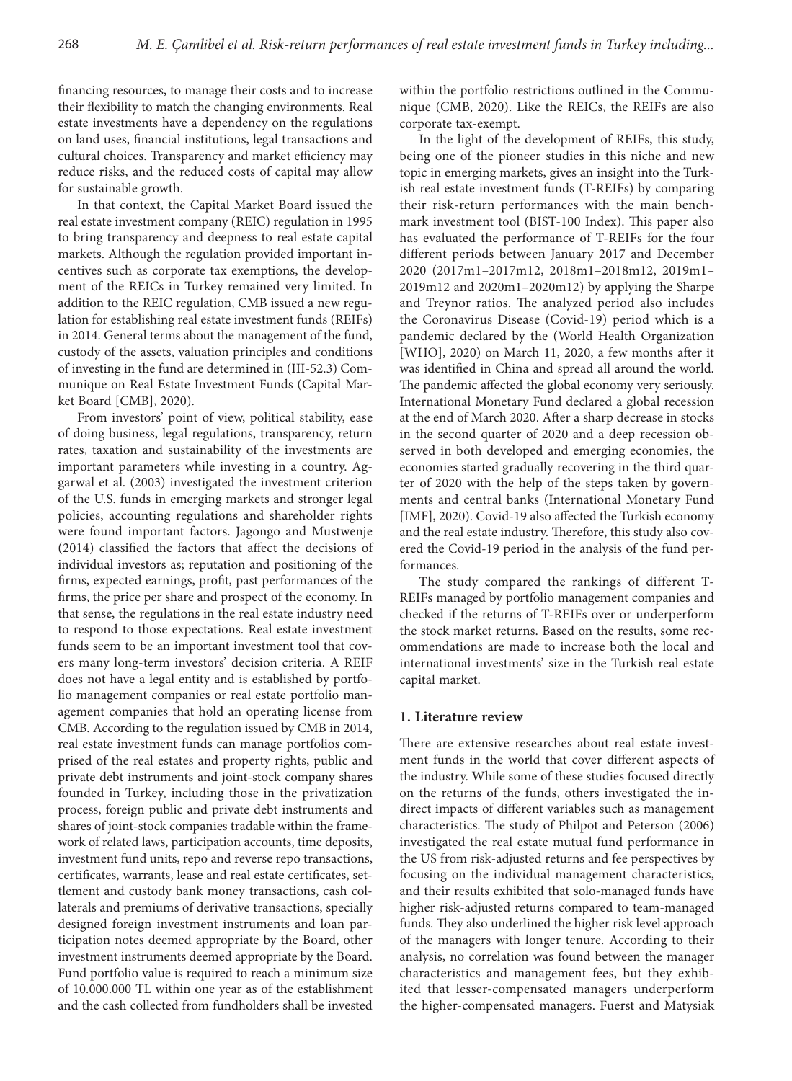financing resources, to manage their costs and to increase their flexibility to match the changing environments. Real estate investments have a dependency on the regulations on land uses, financial institutions, legal transactions and cultural choices. Transparency and market efficiency may reduce risks, and the reduced costs of capital may allow for sustainable growth.

In that context, the Capital Market Board issued the real estate investment company (REIC) regulation in 1995 to bring transparency and deepness to real estate capital markets. Although the regulation provided important incentives such as corporate tax exemptions, the development of the REICs in Turkey remained very limited. In addition to the REIC regulation, CMB issued a new regulation for establishing real estate investment funds (REIFs) in 2014. General terms about the management of the fund, custody of the assets, valuation principles and conditions of investing in the fund are determined in (III-52.3) Communique on Real Estate Investment Funds (Capital Market Board [CMB], 2020).

From investors' point of view, political stability, ease of doing business, legal regulations, transparency, return rates, taxation and sustainability of the investments are important parameters while investing in a country. Aggarwal et al. (2003) investigated the investment criterion of the U.S. funds in emerging markets and stronger legal policies, accounting regulations and shareholder rights were found important factors. Jagongo and Mustwenje (2014) classified the factors that affect the decisions of individual investors as; reputation and positioning of the firms, expected earnings, profit, past performances of the firms, the price per share and prospect of the economy. In that sense, the regulations in the real estate industry need to respond to those expectations. Real estate investment funds seem to be an important investment tool that covers many long-term investors' decision criteria. A REIF does not have a legal entity and is established by portfolio management companies or real estate portfolio management companies that hold an operating license from CMB. According to the regulation issued by CMB in 2014, real estate investment funds can manage portfolios comprised of the real estates and property rights, public and private debt instruments and joint-stock company shares founded in Turkey, including those in the privatization process, foreign public and private debt instruments and shares of joint-stock companies tradable within the framework of related laws, participation accounts, time deposits, investment fund units, repo and reverse repo transactions, certificates, warrants, lease and real estate certificates, settlement and custody bank money transactions, cash collaterals and premiums of derivative transactions, specially designed foreign investment instruments and loan participation notes deemed appropriate by the Board, other investment instruments deemed appropriate by the Board. Fund portfolio value is required to reach a minimum size of 10.000.000 TL within one year as of the establishment and the cash collected from fundholders shall be invested

within the portfolio restrictions outlined in the Communique (CMB, 2020). Like the REICs, the REIFs are also corporate tax-exempt.

In the light of the development of REIFs, this study, being one of the pioneer studies in this niche and new topic in emerging markets, gives an insight into the Turkish real estate investment funds (T-REIFs) by comparing their risk-return performances with the main benchmark investment tool (BIST-100 Index). This paper also has evaluated the performance of T-REIFs for the four different periods between January 2017 and December 2020 (2017m1–2017m12, 2018m1–2018m12, 2019m1– 2019m12 and 2020m1–2020m12) by applying the Sharpe and Treynor ratios. The analyzed period also includes the Coronavirus Disease (Covid-19) period which is a pandemic declared by the (World Health Organization [WHO], 2020) on March 11, 2020, a few months after it was identified in China and spread all around the world. The pandemic affected the global economy very seriously. International Monetary Fund declared a global recession at the end of March 2020. After a sharp decrease in stocks in the second quarter of 2020 and a deep recession observed in both developed and emerging economies, the economies started gradually recovering in the third quarter of 2020 with the help of the steps taken by governments and central banks (International Monetary Fund [IMF], 2020). Covid-19 also affected the Turkish economy and the real estate industry. Therefore, this study also covered the Covid-19 period in the analysis of the fund performances.

The study compared the rankings of different T-REIFs managed by portfolio management companies and checked if the returns of T-REIFs over or underperform the stock market returns. Based on the results, some recommendations are made to increase both the local and international investments' size in the Turkish real estate capital market.

# **1. Literature review**

There are extensive researches about real estate investment funds in the world that cover different aspects of the industry. While some of these studies focused directly on the returns of the funds, others investigated the indirect impacts of different variables such as management characteristics. The study of Philpot and Peterson (2006) investigated the real estate mutual fund performance in the US from risk-adjusted returns and fee perspectives by focusing on the individual management characteristics, and their results exhibited that solo-managed funds have higher risk-adjusted returns compared to team-managed funds. They also underlined the higher risk level approach of the managers with longer tenure. According to their analysis, no correlation was found between the manager characteristics and management fees, but they exhibited that lesser-compensated managers underperform the higher-compensated managers. Fuerst and Matysiak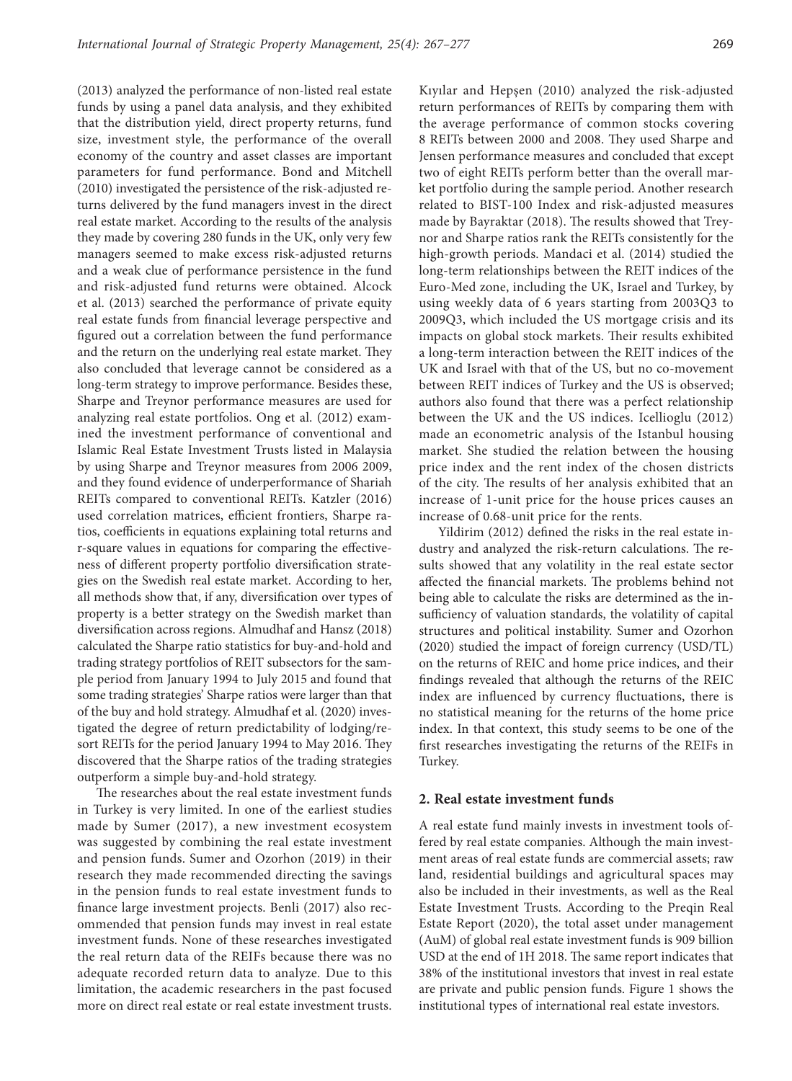(2013) analyzed the performance of non-listed real estate funds by using a panel data analysis, and they exhibited that the distribution yield, direct property returns, fund size, investment style, the performance of the overall economy of the country and asset classes are important parameters for fund performance. Bond and Mitchell (2010) investigated the persistence of the risk-adjusted returns delivered by the fund managers invest in the direct real estate market. According to the results of the analysis they made by covering 280 funds in the UK, only very few managers seemed to make excess risk-adjusted returns and a weak clue of performance persistence in the fund and risk-adjusted fund returns were obtained. Alcock et al. (2013) searched the performance of private equity real estate funds from financial leverage perspective and figured out a correlation between the fund performance and the return on the underlying real estate market. They also concluded that leverage cannot be considered as a long-term strategy to improve performance. Besides these, Sharpe and Treynor performance measures are used for analyzing real estate portfolios. Ong et al. (2012) examined the investment performance of conventional and Islamic Real Estate Investment Trusts listed in Malaysia by using Sharpe and Treynor measures from 2006 2009, and they found evidence of underperformance of Shariah REITs compared to conventional REITs. Katzler (2016) used correlation matrices, efficient frontiers, Sharpe ratios, coefficients in equations explaining total returns and r-square values in equations for comparing the effectiveness of different property portfolio diversification strategies on the Swedish real estate market. According to her, all methods show that, if any, diversification over types of property is a better strategy on the Swedish market than diversification across regions. Almudhaf and Hansz (2018) calculated the Sharpe ratio statistics for buy-and-hold and trading strategy portfolios of REIT subsectors for the sample period from January 1994 to July 2015 and found that some trading strategies' Sharpe ratios were larger than that of the buy and hold strategy. Almudhaf et al. (2020) investigated the degree of return predictability of lodging/resort REITs for the period January 1994 to May 2016. They discovered that the Sharpe ratios of the trading strategies outperform a simple buy-and-hold strategy.

The researches about the real estate investment funds in Turkey is very limited. In one of the earliest studies made by Sumer (2017), a new investment ecosystem was suggested by combining the real estate investment and pension funds. Sumer and Ozorhon (2019) in their research they made recommended directing the savings in the pension funds to real estate investment funds to finance large investment projects. Benli (2017) also recommended that pension funds may invest in real estate investment funds. None of these researches investigated the real return data of the REIFs because there was no adequate recorded return data to analyze. Due to this limitation, the academic researchers in the past focused more on direct real estate or real estate investment trusts.

Kıyılar and Hepşen (2010) analyzed the risk-adjusted return performances of REITs by comparing them with the average performance of common stocks covering 8 REITs between 2000 and 2008. They used Sharpe and Jensen performance measures and concluded that except two of eight REITs perform better than the overall market portfolio during the sample period. Another research related to BIST-100 Index and risk-adjusted measures made by Bayraktar (2018). The results showed that Treynor and Sharpe ratios rank the REITs consistently for the high-growth periods. Mandaci et al. (2014) studied the long-term relationships between the REIT indices of the Euro-Med zone, including the UK, Israel and Turkey, by using weekly data of 6 years starting from 2003Q3 to 2009Q3, which included the US mortgage crisis and its impacts on global stock markets. Their results exhibited a long-term interaction between the REIT indices of the UK and Israel with that of the US, but no co-movement between REIT indices of Turkey and the US is observed; authors also found that there was a perfect relationship between the UK and the US indices. Icellioglu (2012) made an econometric analysis of the Istanbul housing market. She studied the relation between the housing price index and the rent index of the chosen districts of the city. The results of her analysis exhibited that an increase of 1-unit price for the house prices causes an increase of 0.68-unit price for the rents.

Yildirim (2012) defined the risks in the real estate industry and analyzed the risk-return calculations. The results showed that any volatility in the real estate sector affected the financial markets. The problems behind not being able to calculate the risks are determined as the insufficiency of valuation standards, the volatility of capital structures and political instability. Sumer and Ozorhon (2020) studied the impact of foreign currency (USD/TL) on the returns of REIC and home price indices, and their findings revealed that although the returns of the REIC index are influenced by currency fluctuations, there is no statistical meaning for the returns of the home price index. In that context, this study seems to be one of the first researches investigating the returns of the REIFs in Turkey.

#### **2. Real estate investment funds**

A real estate fund mainly invests in investment tools offered by real estate companies. Although the main investment areas of real estate funds are commercial assets; raw land, residential buildings and agricultural spaces may also be included in their investments, as well as the Real Estate Investment Trusts. According to the Preqin Real Estate Report (2020), the total asset under management (AuM) of global real estate investment funds is 909 billion USD at the end of 1H 2018. The same report indicates that 38% of the institutional investors that invest in real estate are private and public pension funds. Figure 1 shows the institutional types of international real estate investors.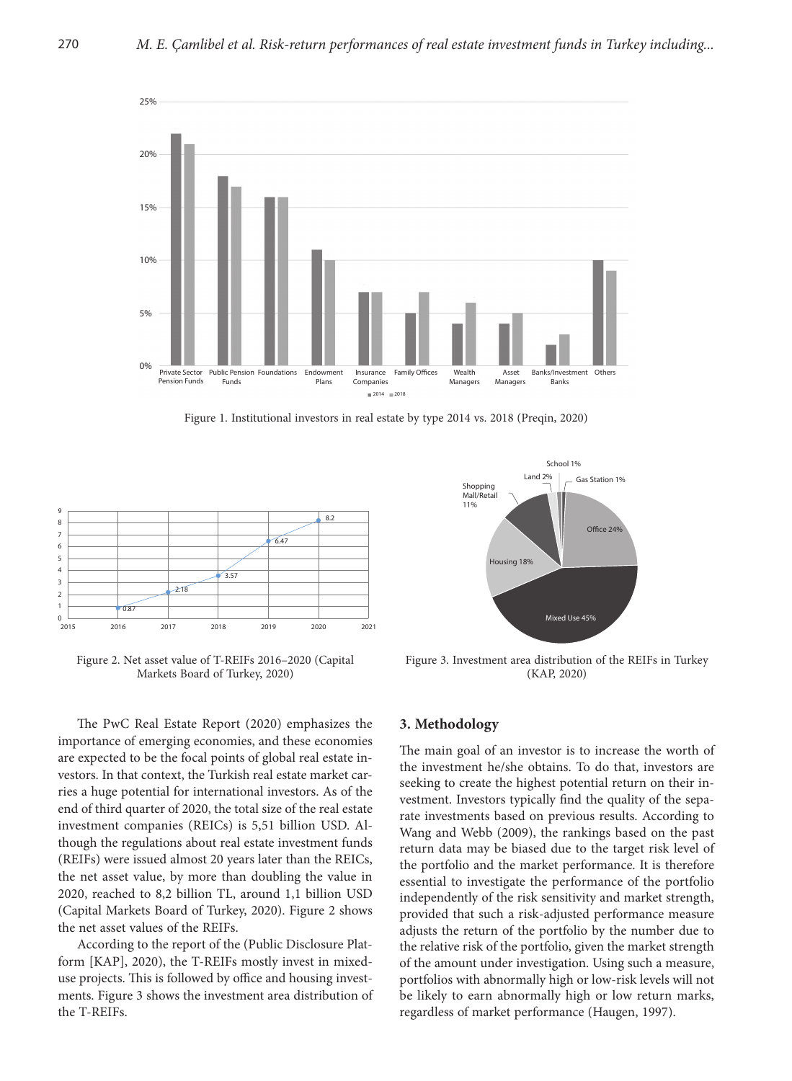

Figure 1. Institutional investors in real estate by type 2014 vs. 2018 (Preqin, 2020)



Figure 2. Net asset value of T-REIFs 2016–2020 (Capital Markets Board of Turkey, 2020)

The PwC Real Estate Report (2020) emphasizes the importance of emerging economies, and these economies are expected to be the focal points of global real estate investors. In that context, the Turkish real estate market carries a huge potential for international investors. As of the end of third quarter of 2020, the total size of the real estate investment companies (REICs) is 5,51 billion USD. Although the regulations about real estate investment funds (REIFs) were issued almost 20 years later than the REICs, the net asset value, by more than doubling the value in 2020, reached to 8,2 billion TL, around 1,1 billion USD (Capital Markets Board of Turkey, 2020). Figure 2 shows the net asset values of the REIFs.

According to the report of the (Public Disclosure Platform [KAP], 2020), the T-REIFs mostly invest in mixeduse projects. This is followed by office and housing investments. Figure 3 shows the investment area distribution of the T-REIFs.



Figure 3. Investment area distribution of the REIFs in Turkey (KAP, 2020)

# **3. Methodology**

The main goal of an investor is to increase the worth of the investment he/she obtains. To do that, investors are seeking to create the highest potential return on their investment. Investors typically find the quality of the separate investments based on previous results. According to Wang and Webb (2009), the rankings based on the past return data may be biased due to the target risk level of the portfolio and the market performance. It is therefore essential to investigate the performance of the portfolio independently of the risk sensitivity and market strength, provided that such a risk-adjusted performance measure adjusts the return of the portfolio by the number due to the relative risk of the portfolio, given the market strength of the amount under investigation. Using such a measure, portfolios with abnormally high or low-risk levels will not be likely to earn abnormally high or low return marks, regardless of market performance (Haugen, 1997).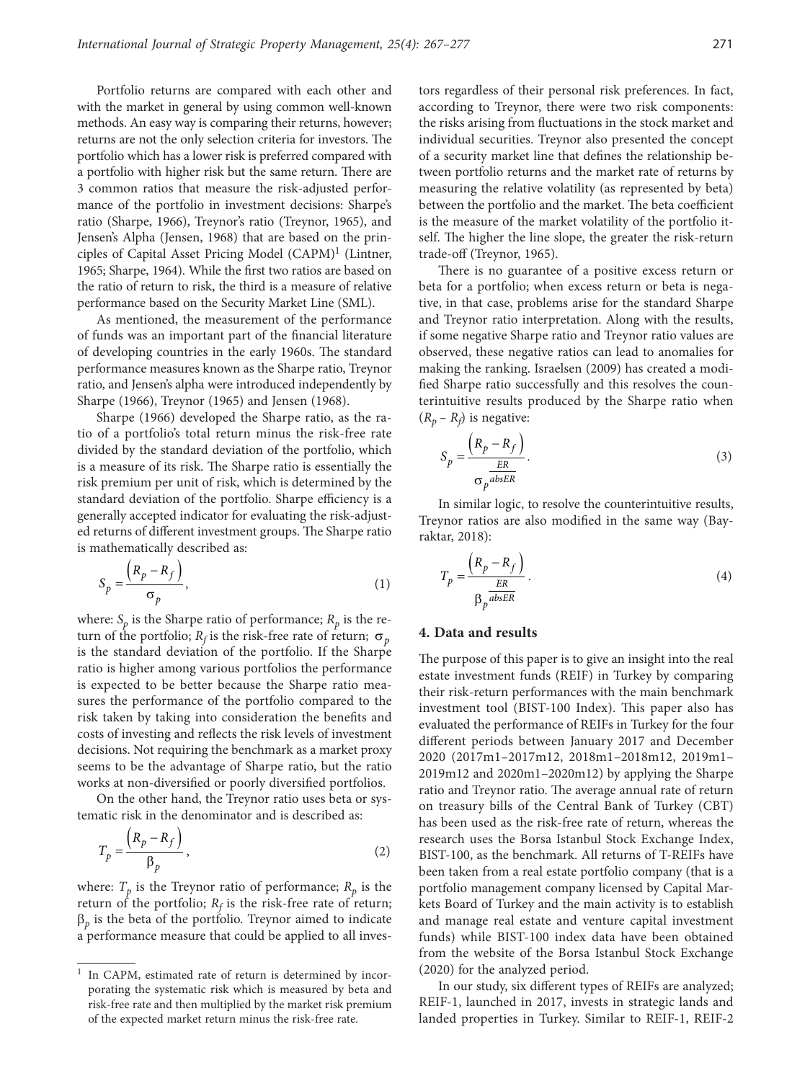Portfolio returns are compared with each other and with the market in general by using common well-known methods. An easy way is comparing their returns, however; returns are not the only selection criteria for investors. The portfolio which has a lower risk is preferred compared with a portfolio with higher risk but the same return. There are 3 common ratios that measure the risk-adjusted performance of the portfolio in investment decisions: Sharpe's ratio (Sharpe, 1966), Treynor's ratio (Treynor, 1965), and Jensen's Alpha (Jensen, 1968) that are based on the principles of Capital Asset Pricing Model (CAPM)<sup>1</sup> (Lintner, 1965; Sharpe, 1964). While the first two ratios are based on the ratio of return to risk, the third is a measure of relative performance based on the Security Market Line (SML).

As mentioned, the measurement of the performance of funds was an important part of the financial literature of developing countries in the early 1960s. The standard performance measures known as the Sharpe ratio, Treynor ratio, and Jensen's alpha were introduced independently by Sharpe (1966), Treynor (1965) and Jensen (1968).

Sharpe (1966) developed the Sharpe ratio, as the ratio of a portfolio's total return minus the risk-free rate divided by the standard deviation of the portfolio, which is a measure of its risk. The Sharpe ratio is essentially the risk premium per unit of risk, which is determined by the standard deviation of the portfolio. Sharpe efficiency is a generally accepted indicator for evaluating the risk-adjusted returns of different investment groups. The Sharpe ratio is mathematically described as:

$$
S_p = \frac{\left(R_p - R_f\right)}{\sigma_p},\tag{1}
$$

where:  $S_p$  is the Sharpe ratio of performance;  $R_p$  is the return of the portfolio;  $R_f$  is the risk-free rate of return;  $\sigma_p$ is the standard deviation of the portfolio. If the Sharpe ratio is higher among various portfolios the performance is expected to be better because the Sharpe ratio measures the performance of the portfolio compared to the risk taken by taking into consideration the benefits and costs of investing and reflects the risk levels of investment decisions. Not requiring the benchmark as a market proxy seems to be the advantage of Sharpe ratio, but the ratio works at non-diversified or poorly diversified portfolios.

On the other hand, the Treynor ratio uses beta or systematic risk in the denominator and is described as:

$$
T_p = \frac{\left(R_p - R_f\right)}{\beta_p},\tag{2}
$$

where:  $T_p$  is the Treynor ratio of performance;  $R_p$  is the return of the portfolio;  $R_f$  is the risk-free rate of return;  $\beta_p$  is the beta of the portfolio. Treynor aimed to indicate a performance measure that could be applied to all investors regardless of their personal risk preferences. In fact, according to Treynor, there were two risk components: the risks arising from fluctuations in the stock market and individual securities. Treynor also presented the concept of a security market line that defines the relationship between portfolio returns and the market rate of returns by measuring the relative volatility (as represented by beta) between the portfolio and the market. The beta coefficient is the measure of the market volatility of the portfolio itself. The higher the line slope, the greater the risk-return trade-off (Treynor, 1965).

There is no guarantee of a positive excess return or beta for a portfolio; when excess return or beta is negative, in that case, problems arise for the standard Sharpe and Treynor ratio interpretation. Along with the results, if some negative Sharpe ratio and Treynor ratio values are observed, these negative ratios can lead to anomalies for making the ranking. Israelsen (2009) has created a modified Sharpe ratio successfully and this resolves the counterintuitive results produced by the Sharpe ratio when  $(R_p - R_f)$  is negative:

$$
S_p = \frac{\left(R_p - R_f\right)}{\sigma_p \frac{ER}{\omega_{\text{BSER}}}}.\tag{3}
$$

In similar logic, to resolve the counterintuitive results, Treynor ratios are also modified in the same way (Bayraktar, 2018):

$$
T_p = \frac{\left(R_p - R_f\right)}{\beta_p \frac{ER}{\text{}}}.
$$
\n<sup>(4)</sup>

### **4. Data and results**

The purpose of this paper is to give an insight into the real estate investment funds (REIF) in Turkey by comparing their risk-return performances with the main benchmark investment tool (BIST-100 Index). This paper also has evaluated the performance of REIFs in Turkey for the four different periods between January 2017 and December 2020 (2017m1–2017m12, 2018m1–2018m12, 2019m1– 2019m12 and 2020m1–2020m12) by applying the Sharpe ratio and Treynor ratio. The average annual rate of return on treasury bills of the Central Bank of Turkey (CBT) has been used as the risk-free rate of return, whereas the research uses the Borsa Istanbul Stock Exchange Index, BIST-100, as the benchmark. All returns of T-REIFs have been taken from a real estate portfolio company (that is a portfolio management company licensed by Capital Markets Board of Turkey and the main activity is to establish and manage real estate and venture capital investment funds) while BIST-100 index data have been obtained from the website of the Borsa Istanbul Stock Exchange (2020) for the analyzed period.

In our study, six different types of REIFs are analyzed; REIF-1, launched in 2017, invests in strategic lands and landed properties in Turkey. Similar to REIF-1, REIF-2

<sup>&</sup>lt;sup>1</sup> In CAPM, estimated rate of return is determined by incorporating the systematic risk which is measured by beta and risk-free rate and then multiplied by the market risk premium of the expected market return minus the risk-free rate.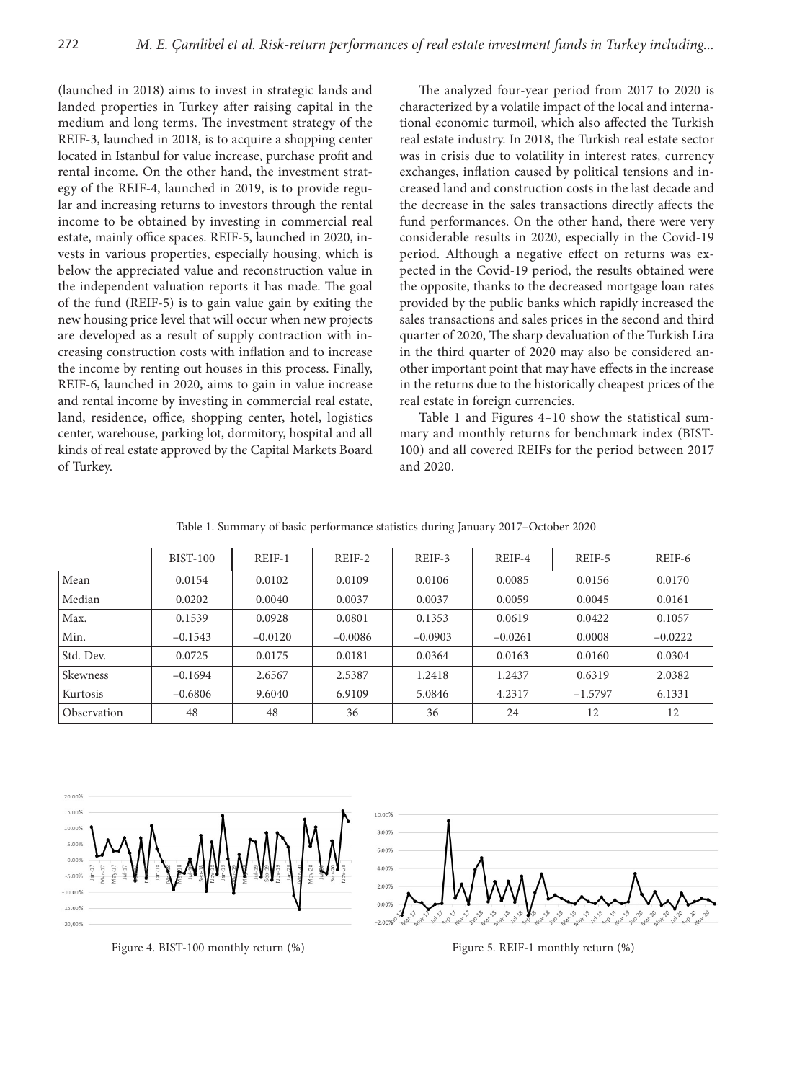(launched in 2018) aims to invest in strategic lands and landed properties in Turkey after raising capital in the medium and long terms. The investment strategy of the REIF-3, launched in 2018, is to acquire a shopping center located in Istanbul for value increase, purchase profit and rental income. On the other hand, the investment strategy of the REIF-4, launched in 2019, is to provide regular and increasing returns to investors through the rental income to be obtained by investing in commercial real estate, mainly office spaces. REIF-5, launched in 2020, invests in various properties, especially housing, which is below the appreciated value and reconstruction value in the independent valuation reports it has made. The goal of the fund (REIF-5) is to gain value gain by exiting the new housing price level that will occur when new projects are developed as a result of supply contraction with increasing construction costs with inflation and to increase the income by renting out houses in this process. Finally, REIF-6, launched in 2020, aims to gain in value increase and rental income by investing in commercial real estate, land, residence, office, shopping center, hotel, logistics center, warehouse, parking lot, dormitory, hospital and all kinds of real estate approved by the Capital Markets Board of Turkey.

The analyzed four-year period from 2017 to 2020 is characterized by a volatile impact of the local and international economic turmoil, which also affected the Turkish real estate industry. In 2018, the Turkish real estate sector was in crisis due to volatility in interest rates, currency exchanges, inflation caused by political tensions and increased land and construction costs in the last decade and the decrease in the sales transactions directly affects the fund performances. On the other hand, there were very considerable results in 2020, especially in the Covid-19 period. Although a negative effect on returns was expected in the Covid-19 period, the results obtained were the opposite, thanks to the decreased mortgage loan rates provided by the public banks which rapidly increased the sales transactions and sales prices in the second and third quarter of 2020, The sharp devaluation of the Turkish Lira in the third quarter of 2020 may also be considered another important point that may have effects in the increase in the returns due to the historically cheapest prices of the real estate in foreign currencies.

Table 1 and Figures 4–10 show the statistical summary and monthly returns for benchmark index (BIST-100) and all covered REIFs for the period between 2017 and 2020.

Table 1. Summary of basic performance statistics during January 2017–October 2020

|             | <b>BIST-100</b> | REIF-1    | REIF-2    | REIF-3    | REIF-4    | REIF-5    | REIF-6    |
|-------------|-----------------|-----------|-----------|-----------|-----------|-----------|-----------|
| Mean        | 0.0154          | 0.0102    | 0.0109    | 0.0106    | 0.0085    | 0.0156    | 0.0170    |
| Median      | 0.0202          | 0.0040    | 0.0037    | 0.0037    | 0.0059    | 0.0045    | 0.0161    |
| Max.        | 0.1539          | 0.0928    | 0.0801    | 0.1353    | 0.0619    | 0.0422    | 0.1057    |
| Min.        | $-0.1543$       | $-0.0120$ | $-0.0086$ | $-0.0903$ | $-0.0261$ | 0.0008    | $-0.0222$ |
| Std. Dev.   | 0.0725          | 0.0175    | 0.0181    | 0.0364    | 0.0163    | 0.0160    | 0.0304    |
| Skewness    | $-0.1694$       | 2.6567    | 2.5387    | 1.2418    | 1.2437    | 0.6319    | 2.0382    |
| Kurtosis    | $-0.6806$       | 9.6040    | 6.9109    | 5.0846    | 4.2317    | $-1.5797$ | 6.1331    |
| Observation | 48              | 48        | 36        | 36        | 24        | 12        | 12        |





Figure 4. BIST-100 monthly return (%) Figure 5. REIF-1 monthly return (%)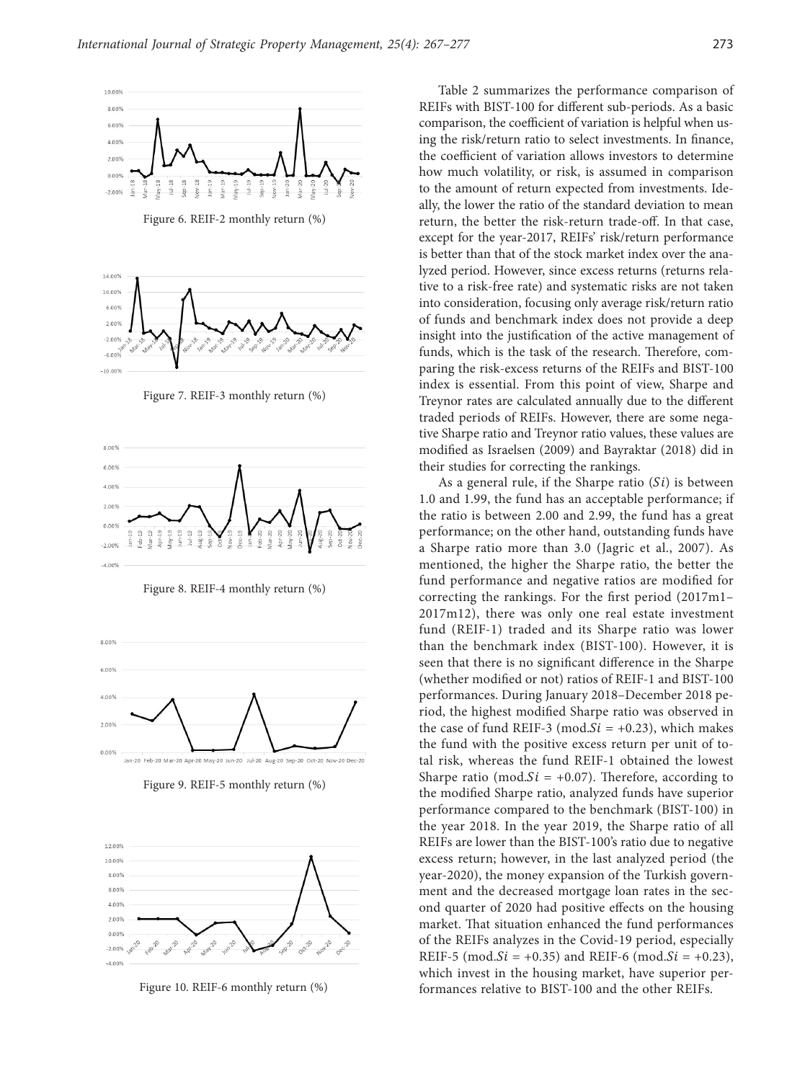

Figure 6. REIF-2 monthly return (%)



Figure 7. REIF-3 monthly return (%)



Figure 8. REIF-4 monthly return (%)



Figure 9. REIF-5 monthly return (%)



Figure 10. REIF-6 monthly return (%)

Table 2 summarizes the performance comparison of REIFs with BIST-100 for different sub-periods. As a basic comparison, the coefficient of variation is helpful when using the risk/return ratio to select investments. In finance, the coefficient of variation allows investors to determine how much volatility, or risk, is assumed in comparison to the amount of return expected from investments. Ideally, the lower the ratio of the standard deviation to mean return, the better the risk-return trade-off. In that case, except for the year-2017, REIFs' risk/return performance is better than that of the stock market index over the analyzed period. However, since excess returns (returns relative to a risk-free rate) and systematic risks are not taken into consideration, focusing only average risk/return ratio of funds and benchmark index does not provide a deep insight into the justification of the active management of funds, which is the task of the research. Therefore, comparing the risk-excess returns of the REIFs and BIST-100 index is essential. From this point of view, Sharpe and Treynor rates are calculated annually due to the different traded periods of REIFs. However, there are some negative Sharpe ratio and Treynor ratio values, these values are modified as Israelsen (2009) and Bayraktar (2018) did in their studies for correcting the rankings.

As a general rule, if the Sharpe ratio  $(Si)$  is between 1.0 and 1.99, the fund has an acceptable performance; if the ratio is between 2.00 and 2.99, the fund has a great performance; on the other hand, outstanding funds have a Sharpe ratio more than 3.0 (Jagric et al., 2007). As mentioned, the higher the Sharpe ratio, the better the fund performance and negative ratios are modified for correcting the rankings. For the first period (2017m1– 2017m12), there was only one real estate investment fund (REIF-1) traded and its Sharpe ratio was lower than the benchmark index (BIST-100). However, it is seen that there is no significant difference in the Sharpe (whether modified or not) ratios of REIF-1 and BIST-100 performances. During January 2018–December 2018 period, the highest modified Sharpe ratio was observed in the case of fund REIF-3 (mod.  $Si = +0.23$ ), which makes the fund with the positive excess return per unit of total risk, whereas the fund REIF-1 obtained the lowest Sharpe ratio (mod.  $Si = +0.07$ ). Therefore, according to the modified Sharpe ratio, analyzed funds have superior performance compared to the benchmark (BIST-100) in the year 2018. In the year 2019, the Sharpe ratio of all REIFs are lower than the BIST-100's ratio due to negative excess return; however, in the last analyzed period (the year-2020), the money expansion of the Turkish government and the decreased mortgage loan rates in the second quarter of 2020 had positive effects on the housing market. That situation enhanced the fund performances of the REIFs analyzes in the Covid-19 period, especially REIF-5 (mod.  $Si = +0.35$ ) and REIF-6 (mod.  $Si = +0.23$ ), which invest in the housing market, have superior performances relative to BIST-100 and the other REIFs.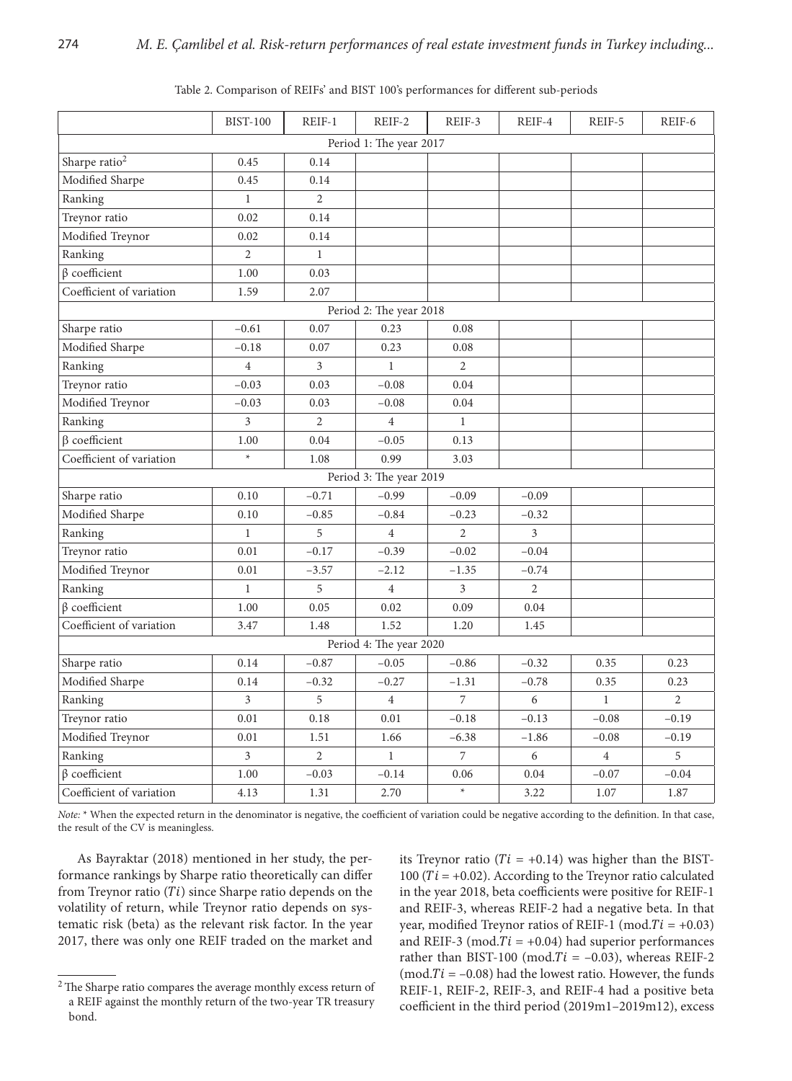|                           | <b>BIST-100</b>         | REIF-1         | REIF-2                  | REIF-3         | REIF-4         | REIF-5         | REIF-6         |  |  |  |  |  |
|---------------------------|-------------------------|----------------|-------------------------|----------------|----------------|----------------|----------------|--|--|--|--|--|
| Period 1: The year 2017   |                         |                |                         |                |                |                |                |  |  |  |  |  |
| Sharpe ratio <sup>2</sup> | 0.45                    | 0.14           |                         |                |                |                |                |  |  |  |  |  |
| Modified Sharpe           | 0.45                    | 0.14           |                         |                |                |                |                |  |  |  |  |  |
| Ranking                   | $\mathbf{1}$            | $\overline{2}$ |                         |                |                |                |                |  |  |  |  |  |
| Treynor ratio             | 0.02                    | 0.14           |                         |                |                |                |                |  |  |  |  |  |
| Modified Treynor          | 0.02                    | 0.14           |                         |                |                |                |                |  |  |  |  |  |
| Ranking                   | $\overline{2}$          | $\mathbf{1}$   |                         |                |                |                |                |  |  |  |  |  |
| $\beta$ coefficient       | 1.00                    | 0.03           |                         |                |                |                |                |  |  |  |  |  |
| Coefficient of variation  | 1.59                    | 2.07           |                         |                |                |                |                |  |  |  |  |  |
| Period 2: The year 2018   |                         |                |                         |                |                |                |                |  |  |  |  |  |
| Sharpe ratio              | $-0.61$                 | 0.07           | 0.23                    | 0.08           |                |                |                |  |  |  |  |  |
| Modified Sharpe           | $-0.18$                 | 0.07           | 0.23                    | 0.08           |                |                |                |  |  |  |  |  |
| Ranking                   | $\overline{4}$          | 3              | 1                       | $\overline{2}$ |                |                |                |  |  |  |  |  |
| Treynor ratio             | $-0.03$                 | 0.03           | $-0.08$                 | 0.04           |                |                |                |  |  |  |  |  |
| Modified Treynor          | $-0.03$                 | 0.03           | $-0.08$                 | 0.04           |                |                |                |  |  |  |  |  |
| Ranking                   | 3                       | $\overline{2}$ | $\overline{4}$          | $\mathbf{1}$   |                |                |                |  |  |  |  |  |
| <b>B</b> coefficient      | 1.00                    | 0.04           | $-0.05$                 | 0.13           |                |                |                |  |  |  |  |  |
| Coefficient of variation  | $\star$                 | 1.08           | 0.99                    | 3.03           |                |                |                |  |  |  |  |  |
|                           |                         |                | Period 3: The year 2019 |                |                |                |                |  |  |  |  |  |
| Sharpe ratio              | 0.10                    | $-0.71$        | $-0.99$                 | $-0.09$        | $-0.09$        |                |                |  |  |  |  |  |
| Modified Sharpe           | 0.10                    | $-0.85$        | $-0.84$                 | $-0.23$        | $-0.32$        |                |                |  |  |  |  |  |
| Ranking                   | $\mathbf{1}$            | 5              | $\overline{4}$          | $\overline{2}$ | $\overline{3}$ |                |                |  |  |  |  |  |
| Treynor ratio             | 0.01                    | $-0.17$        | $-0.39$                 | $-0.02$        | $-0.04$        |                |                |  |  |  |  |  |
| Modified Treynor          | 0.01                    | $-3.57$        | $-2.12$                 | $-1.35$        | $-0.74$        |                |                |  |  |  |  |  |
| Ranking                   | $\mathbf{1}$            | 5              | $\overline{4}$          | 3              | $\overline{2}$ |                |                |  |  |  |  |  |
| $\beta$ coefficient       | 1.00                    | 0.05           | 0.02                    | 0.09           | 0.04           |                |                |  |  |  |  |  |
| Coefficient of variation  | 3.47                    | 1.48           | 1.52                    | 1.20           | 1.45           |                |                |  |  |  |  |  |
| Period 4: The year 2020   |                         |                |                         |                |                |                |                |  |  |  |  |  |
| Sharpe ratio              | 0.14                    | $-0.87$        | $-0.05$                 | $-0.86$        | $-0.32$        | 0.35           | 0.23           |  |  |  |  |  |
| Modified Sharpe           | 0.14                    | $-0.32$        | $-0.27$                 | $-1.31$        | $-0.78$        | 0.35           | 0.23           |  |  |  |  |  |
| Ranking                   | $\overline{\mathbf{3}}$ | 5              | $\overline{4}$          | $\overline{7}$ | 6              | $\mathbf{1}$   | $\overline{2}$ |  |  |  |  |  |
| Treynor ratio             | 0.01                    | 0.18           | 0.01                    | $-0.18$        | $-0.13$        | $-0.08$        | $-0.19$        |  |  |  |  |  |
| Modified Treynor          | 0.01                    | 1.51           | 1.66                    | $-6.38$        | $-1.86$        | $-0.08$        | $-0.19$        |  |  |  |  |  |
| Ranking                   | 3                       | $\overline{2}$ | $\mathbf{1}$            | 7              | 6              | $\overline{4}$ | 5              |  |  |  |  |  |
| $\beta$ coefficient       | 1.00                    | $-0.03$        | $-0.14$                 | 0.06           | 0.04           | $-0.07$        | $-0.04$        |  |  |  |  |  |
| Coefficient of variation  | 4.13                    | 1.31           | 2.70                    | $\star$        | 3.22           | 1.07           | 1.87           |  |  |  |  |  |

Table 2. Comparison of REIFs' and BIST 100's performances for different sub-periods

*Note:* \* When the expected return in the denominator is negative, the coefficient of variation could be negative according to the definition. In that case, the result of the CV is meaningless.

As Bayraktar (2018) mentioned in her study, the performance rankings by Sharpe ratio theoretically can differ from Treynor ratio  $(Ti)$  since Sharpe ratio depends on the volatility of return, while Treynor ratio depends on systematic risk (beta) as the relevant risk factor. In the year 2017, there was only one REIF traded on the market and its Treynor ratio ( $Ti = +0.14$ ) was higher than the BIST-100 ( $Ti = +0.02$ ). According to the Treynor ratio calculated in the year 2018, beta coefficients were positive for REIF-1 and REIF-3, whereas REIF-2 had a negative beta. In that year, modified Treynor ratios of REIF-1 (mod.  $Ti = +0.03$ ) and REIF-3 (mod.  $Ti = +0.04$ ) had superior performances rather than BIST-100 (mod.  $Ti = -0.03$ ), whereas REIF-2 (mod.  $Ti = -0.08$ ) had the lowest ratio. However, the funds REIF-1, REIF-2, REIF-3, and REIF-4 had a positive beta coefficient in the third period (2019m1–2019m12), excess

 $2$  The Sharpe ratio compares the average monthly excess return of a REIF against the monthly return of the two-year TR treasury bond.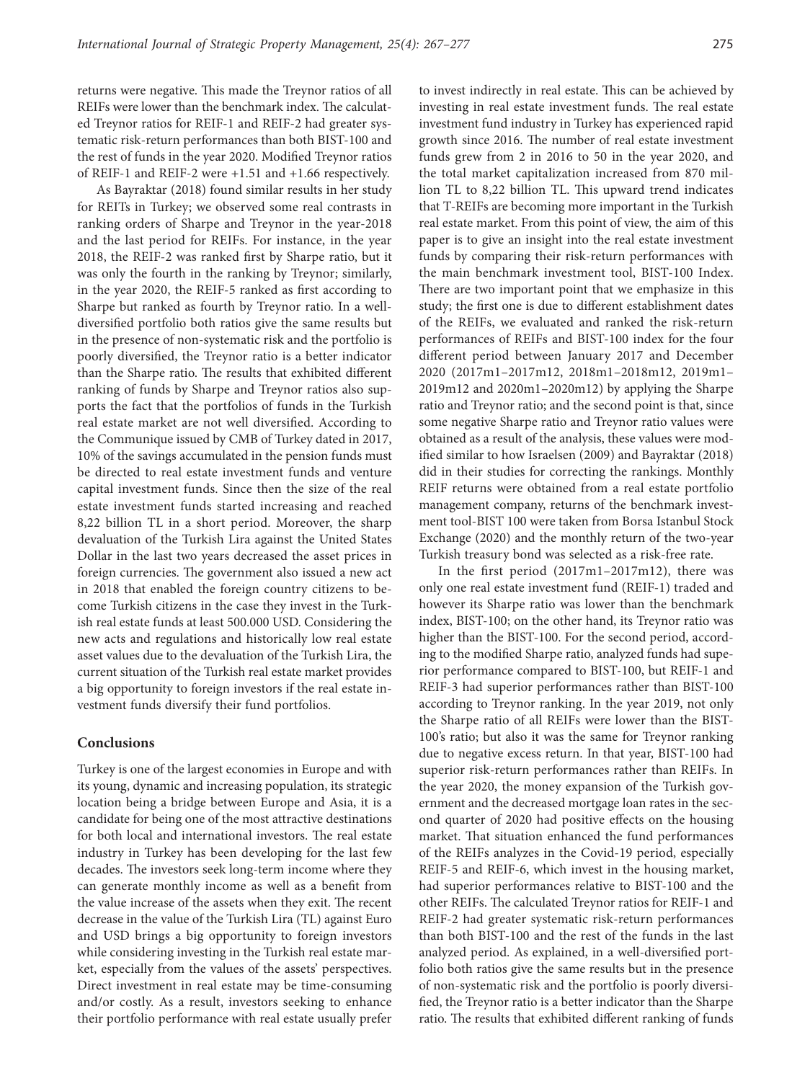returns were negative. This made the Treynor ratios of all REIFs were lower than the benchmark index. The calculated Treynor ratios for REIF-1 and REIF-2 had greater systematic risk-return performances than both BIST-100 and the rest of funds in the year 2020. Modified Treynor ratios of REIF-1 and REIF-2 were +1.51 and +1.66 respectively.

As Bayraktar (2018) found similar results in her study for REITs in Turkey; we observed some real contrasts in ranking orders of Sharpe and Treynor in the year-2018 and the last period for REIFs. For instance, in the year 2018, the REIF-2 was ranked first by Sharpe ratio, but it was only the fourth in the ranking by Treynor; similarly, in the year 2020, the REIF-5 ranked as first according to Sharpe but ranked as fourth by Treynor ratio. In a welldiversified portfolio both ratios give the same results but in the presence of non-systematic risk and the portfolio is poorly diversified, the Treynor ratio is a better indicator than the Sharpe ratio. The results that exhibited different ranking of funds by Sharpe and Treynor ratios also supports the fact that the portfolios of funds in the Turkish real estate market are not well diversified. According to the Communique issued by CMB of Turkey dated in 2017, 10% of the savings accumulated in the pension funds must be directed to real estate investment funds and venture capital investment funds. Since then the size of the real estate investment funds started increasing and reached 8,22 billion TL in a short period. Moreover, the sharp devaluation of the Turkish Lira against the United States Dollar in the last two years decreased the asset prices in foreign currencies. The government also issued a new act in 2018 that enabled the foreign country citizens to become Turkish citizens in the case they invest in the Turkish real estate funds at least 500.000 USD. Considering the new acts and regulations and historically low real estate asset values due to the devaluation of the Turkish Lira, the current situation of the Turkish real estate market provides a big opportunity to foreign investors if the real estate investment funds diversify their fund portfolios.

# **Conclusions**

Turkey is one of the largest economies in Europe and with its young, dynamic and increasing population, its strategic location being a bridge between Europe and Asia, it is a candidate for being one of the most attractive destinations for both local and international investors. The real estate industry in Turkey has been developing for the last few decades. The investors seek long-term income where they can generate monthly income as well as a benefit from the value increase of the assets when they exit. The recent decrease in the value of the Turkish Lira (TL) against Euro and USD brings a big opportunity to foreign investors while considering investing in the Turkish real estate market, especially from the values of the assets' perspectives. Direct investment in real estate may be time-consuming and/or costly. As a result, investors seeking to enhance their portfolio performance with real estate usually prefer

to invest indirectly in real estate. This can be achieved by investing in real estate investment funds. The real estate investment fund industry in Turkey has experienced rapid growth since 2016. The number of real estate investment funds grew from 2 in 2016 to 50 in the year 2020, and the total market capitalization increased from 870 million TL to 8,22 billion TL. This upward trend indicates that T-REIFs are becoming more important in the Turkish real estate market. From this point of view, the aim of this paper is to give an insight into the real estate investment funds by comparing their risk-return performances with the main benchmark investment tool, BIST-100 Index. There are two important point that we emphasize in this study; the first one is due to different establishment dates of the REIFs, we evaluated and ranked the risk-return performances of REIFs and BIST-100 index for the four different period between January 2017 and December 2020 (2017m1–2017m12, 2018m1–2018m12, 2019m1– 2019m12 and 2020m1–2020m12) by applying the Sharpe ratio and Treynor ratio; and the second point is that, since some negative Sharpe ratio and Treynor ratio values were obtained as a result of the analysis, these values were modified similar to how Israelsen (2009) and Bayraktar (2018) did in their studies for correcting the rankings. Monthly REIF returns were obtained from a real estate portfolio management company, returns of the benchmark investment tool-BIST 100 were taken from Borsa Istanbul Stock Exchange (2020) and the monthly return of the two-year Turkish treasury bond was selected as a risk-free rate.

In the first period (2017m1–2017m12), there was only one real estate investment fund (REIF-1) traded and however its Sharpe ratio was lower than the benchmark index, BIST-100; on the other hand, its Treynor ratio was higher than the BIST-100. For the second period, according to the modified Sharpe ratio, analyzed funds had superior performance compared to BIST-100, but REIF-1 and REIF-3 had superior performances rather than BIST-100 according to Treynor ranking. In the year 2019, not only the Sharpe ratio of all REIFs were lower than the BIST-100's ratio; but also it was the same for Treynor ranking due to negative excess return. In that year, BIST-100 had superior risk-return performances rather than REIFs. In the year 2020, the money expansion of the Turkish government and the decreased mortgage loan rates in the second quarter of 2020 had positive effects on the housing market. That situation enhanced the fund performances of the REIFs analyzes in the Covid-19 period, especially REIF-5 and REIF-6, which invest in the housing market, had superior performances relative to BIST-100 and the other REIFs. The calculated Treynor ratios for REIF-1 and REIF-2 had greater systematic risk-return performances than both BIST-100 and the rest of the funds in the last analyzed period. As explained, in a well-diversified portfolio both ratios give the same results but in the presence of non-systematic risk and the portfolio is poorly diversified, the Treynor ratio is a better indicator than the Sharpe ratio. The results that exhibited different ranking of funds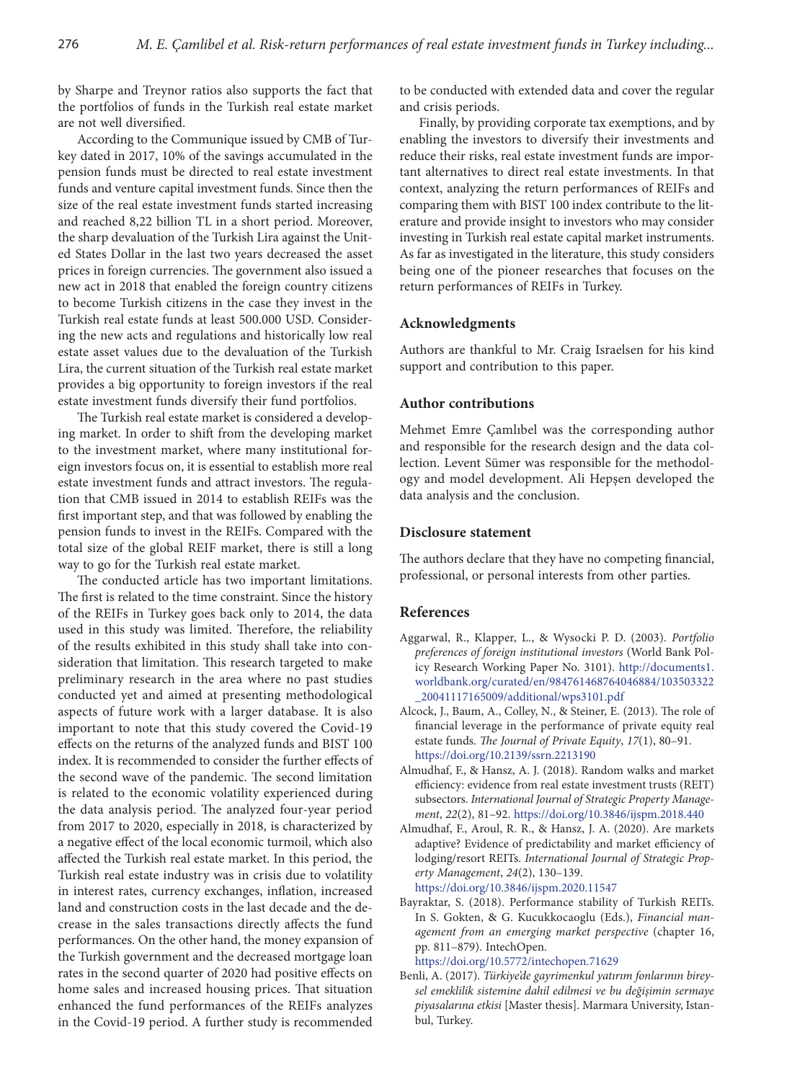by Sharpe and Treynor ratios also supports the fact that the portfolios of funds in the Turkish real estate market are not well diversified.

According to the Communique issued by CMB of Turkey dated in 2017, 10% of the savings accumulated in the pension funds must be directed to real estate investment funds and venture capital investment funds. Since then the size of the real estate investment funds started increasing and reached 8,22 billion TL in a short period. Moreover, the sharp devaluation of the Turkish Lira against the United States Dollar in the last two years decreased the asset prices in foreign currencies. The government also issued a new act in 2018 that enabled the foreign country citizens to become Turkish citizens in the case they invest in the Turkish real estate funds at least 500.000 USD. Considering the new acts and regulations and historically low real estate asset values due to the devaluation of the Turkish Lira, the current situation of the Turkish real estate market provides a big opportunity to foreign investors if the real estate investment funds diversify their fund portfolios.

The Turkish real estate market is considered a developing market. In order to shift from the developing market to the investment market, where many institutional foreign investors focus on, it is essential to establish more real estate investment funds and attract investors. The regulation that CMB issued in 2014 to establish REIFs was the first important step, and that was followed by enabling the pension funds to invest in the REIFs. Compared with the total size of the global REIF market, there is still a long way to go for the Turkish real estate market.

The conducted article has two important limitations. The first is related to the time constraint. Since the history of the REIFs in Turkey goes back only to 2014, the data used in this study was limited. Therefore, the reliability of the results exhibited in this study shall take into consideration that limitation. This research targeted to make preliminary research in the area where no past studies conducted yet and aimed at presenting methodological aspects of future work with a larger database. It is also important to note that this study covered the Covid-19 effects on the returns of the analyzed funds and BIST 100 index. It is recommended to consider the further effects of the second wave of the pandemic. The second limitation is related to the economic volatility experienced during the data analysis period. The analyzed four-year period from 2017 to 2020, especially in 2018, is characterized by a negative effect of the local economic turmoil, which also affected the Turkish real estate market. In this period, the Turkish real estate industry was in crisis due to volatility in interest rates, currency exchanges, inflation, increased land and construction costs in the last decade and the decrease in the sales transactions directly affects the fund performances. On the other hand, the money expansion of the Turkish government and the decreased mortgage loan rates in the second quarter of 2020 had positive effects on home sales and increased housing prices. That situation enhanced the fund performances of the REIFs analyzes in the Covid-19 period. A further study is recommended

to be conducted with extended data and cover the regular and crisis periods.

Finally, by providing corporate tax exemptions, and by enabling the investors to diversify their investments and reduce their risks, real estate investment funds are important alternatives to direct real estate investments. In that context, analyzing the return performances of REIFs and comparing them with BIST 100 index contribute to the literature and provide insight to investors who may consider investing in Turkish real estate capital market instruments. As far as investigated in the literature, this study considers being one of the pioneer researches that focuses on the return performances of REIFs in Turkey.

## **Acknowledgments**

Authors are thankful to Mr. Craig Israelsen for his kind support and contribution to this paper.

### **Author contributions**

Mehmet Emre Çamlıbel was the corresponding author and responsible for the research design and the data collection. Levent Sümer was responsible for the methodology and model development. Ali Hepşen developed the data analysis and the conclusion.

## **Disclosure statement**

The authors declare that they have no competing financial, professional, or personal interests from other parties.

# **References**

- Aggarwal, R., Klapper, L., & Wysocki P. D. (2003). *Portfolio preferences of foreign institutional investors* (World Bank Policy Research Working Paper No. 3101). [http://documents1.](http://documents1.worldbank.org/curated/en/984761468764046884/103503322_20041117165009/additional/wps3101.pdf) [worldbank.org/curated/en/984761468764046884/103503322](http://documents1.worldbank.org/curated/en/984761468764046884/103503322_20041117165009/additional/wps3101.pdf) [\\_20041117165009/additional/wps3101.pdf](http://documents1.worldbank.org/curated/en/984761468764046884/103503322_20041117165009/additional/wps3101.pdf)
- Alcock, J., Baum, A., Colley, N., & Steiner, E. (2013). The role of financial leverage in the performance of private equity real estate funds. *The Journal of Private Equity*, *17*(1), 80–91. <https://doi.org/10.2139/ssrn.2213190>
- Almudhaf, F., & Hansz, A. J. (2018). Random walks and market efficiency: evidence from real estate investment trusts (REIT) subsectors. *International Journal of Strategic Property Management*, *22*(2), 81–92. <https://doi.org/10.3846/ijspm.2018.440>
- Almudhaf, F., Aroul, R. R., & Hansz, J. A. (2020). Are markets adaptive? Evidence of predictability and market efficiency of lodging/resort REITs. *International Journal of Strategic Property Management*, *24*(2), 130–139. <https://doi.org/10.3846/ijspm.2020.11547>
- Bayraktar, S. (2018). Performance stability of Turkish REITs. In S. Gokten, & G. Kucukkocaoglu (Eds.), *Financial management from an emerging market perspective* (chapter 16, pp. 811–879). IntechOpen.

<https://doi.org/10.5772/intechopen.71629>

Benli, A. (2017). *Türkiye'de gayrimenkul yatırım fonlarının bireysel emeklilik sistemine dahil edilmesi ve bu değişimin sermaye piyasalarına etkisi* [Master thesis]. Marmara University, Istanbul, Turkey.